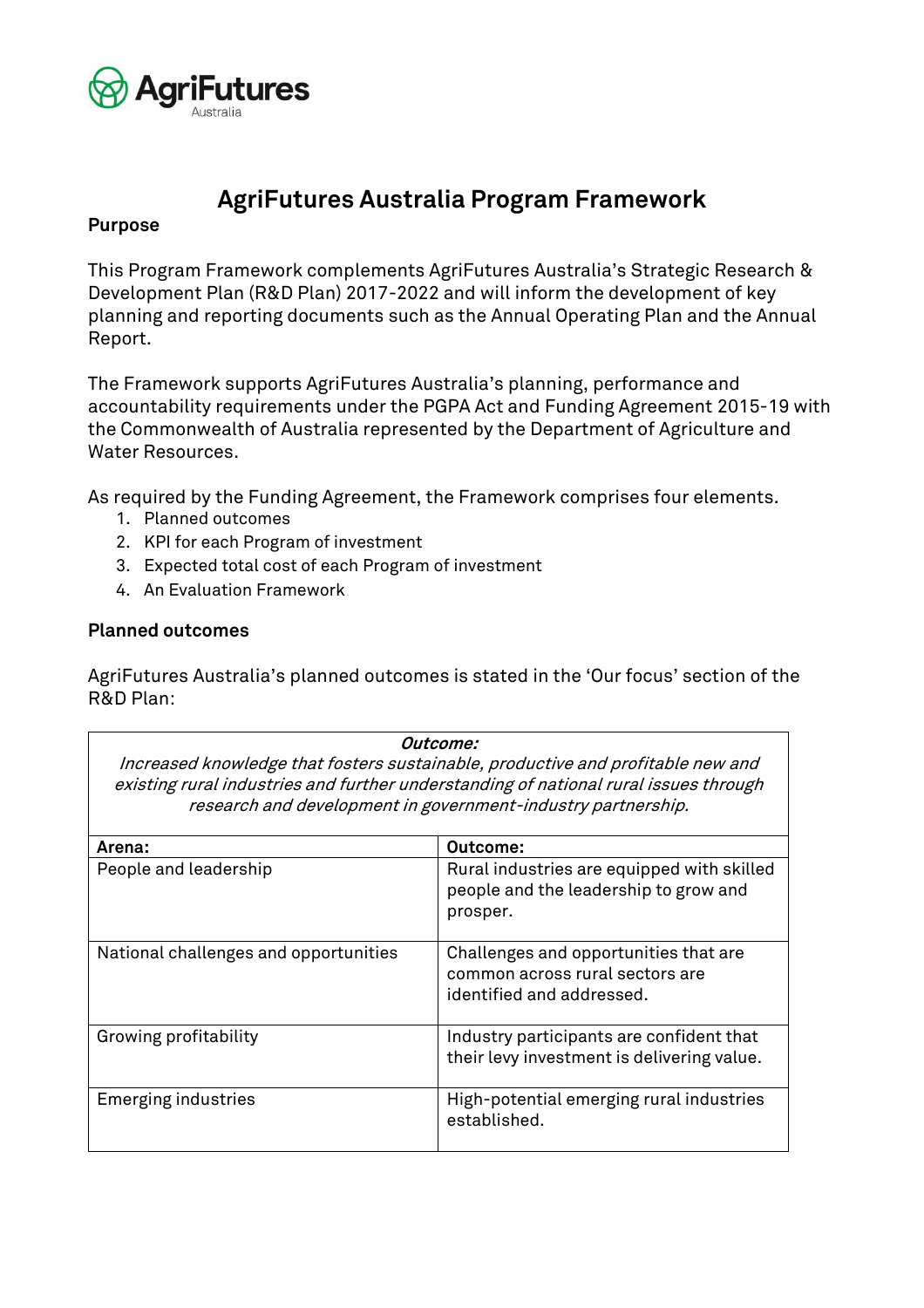

# **AgriFutures Australia Program Framework**

## **Purpose**

This Program Framework complements AgriFutures Australia's Strategic Research & Development Plan (R&D Plan) 2017-2022 and will inform the development of key planning and reporting documents such as the Annual Operating Plan and the Annual Report.

The Framework supports AgriFutures Australia's planning, performance and accountability requirements under the PGPA Act and Funding Agreement 2015-19 with the Commonwealth of Australia represented by the Department of Agriculture and Water Resources.

As required by the Funding Agreement, the Framework comprises four elements.

- 1. Planned outcomes
- 2. KPI for each Program of investment
- 3. Expected total cost of each Program of investment
- 4. An Evaluation Framework

### **Planned outcomes**

AgriFutures Australia's planned outcomes is stated in the 'Our focus' section of the R&D Plan:

**Outcome:**

Increased knowledge that fosters sustainable, productive and profitable new and existing rural industries and further understanding of national rural issues through research and development in government-industry partnership.

| Arena:                                | Outcome:                                                                                              |
|---------------------------------------|-------------------------------------------------------------------------------------------------------|
| People and leadership                 | Rural industries are equipped with skilled<br>people and the leadership to grow and<br>prosper.       |
| National challenges and opportunities | Challenges and opportunities that are<br>common across rural sectors are<br>identified and addressed. |
| Growing profitability                 | Industry participants are confident that<br>their levy investment is delivering value.                |
| <b>Emerging industries</b>            | High-potential emerging rural industries<br>established.                                              |